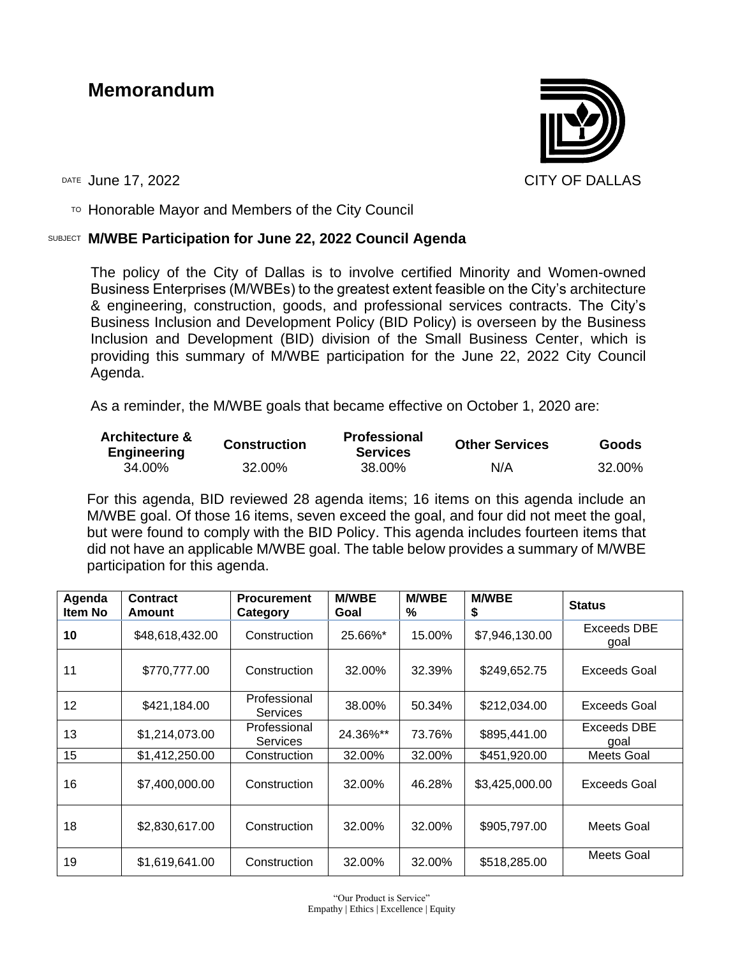# **Memorandum**



TO Honorable Mayor and Members of the City Council

### SUBJECT **M/WBE Participation for June 22, 2022 Council Agenda**

The policy of the City of Dallas is to involve certified Minority and Women-owned Business Enterprises (M/WBEs) to the greatest extent feasible on the City's architecture & engineering, construction, goods, and professional services contracts. The City's Business Inclusion and Development Policy (BID Policy) is overseen by the Business Inclusion and Development (BID) division of the Small Business Center, which is providing this summary of M/WBE participation for the June 22, 2022 City Council Agenda.

As a reminder, the M/WBE goals that became effective on October 1, 2020 are:

| <b>Architecture &amp;</b><br><b>Engineering</b> | <b>Construction</b> | <b>Professional</b><br><b>Services</b> | <b>Other Services</b> | Goods  |  |
|-------------------------------------------------|---------------------|----------------------------------------|-----------------------|--------|--|
| 34.00%                                          | 32.00%              | 38.00%                                 | N/A                   | 32.00% |  |

For this agenda, BID reviewed 28 agenda items; 16 items on this agenda include an M/WBE goal. Of those 16 items, seven exceed the goal, and four did not meet the goal, but were found to comply with the BID Policy. This agenda includes fourteen items that did not have an applicable M/WBE goal. The table below provides a summary of M/WBE participation for this agenda.

| Agenda<br>Item No | <b>Contract</b><br>Amount | <b>Procurement</b><br>Category  | <b>M/WBE</b><br>Goal | <b>M/WBE</b><br>℅ | <b>M/WBE</b><br>\$ | <b>Status</b>       |
|-------------------|---------------------------|---------------------------------|----------------------|-------------------|--------------------|---------------------|
| 10                | \$48,618,432.00           | Construction                    | 25.66%*              | 15.00%            | \$7,946,130.00     | Exceeds DBE<br>goal |
| 11                | \$770,777.00              | Construction                    | 32.00%               | 32.39%            | \$249,652.75       | Exceeds Goal        |
| 12                | \$421,184.00              | Professional<br><b>Services</b> | 38.00%               | 50.34%            | \$212,034.00       | Exceeds Goal        |
| 13                | \$1,214,073.00            | Professional<br><b>Services</b> | 24.36%**             | 73.76%            | \$895,441.00       | Exceeds DBE<br>qoal |
| 15                | \$1,412,250.00            | Construction                    | 32.00%               | 32.00%            | \$451,920.00       | Meets Goal          |
| 16                | \$7,400,000.00            | Construction                    | 32.00%               | 46.28%            | \$3,425,000.00     | Exceeds Goal        |
| 18                | \$2,830,617.00            | Construction                    | 32.00%               | 32.00%            | \$905,797.00       | Meets Goal          |
| 19                | \$1,619,641.00            | Construction                    | 32.00%               | 32.00%            | \$518,285.00       | Meets Goal          |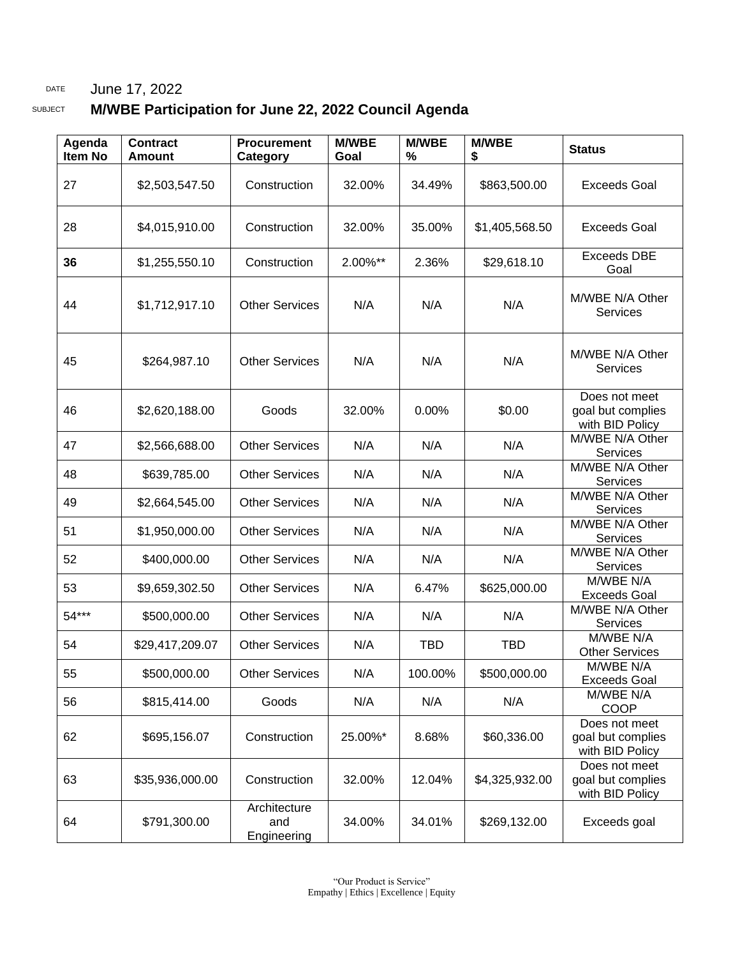### DATE June 17, 2022

## SUBJECT **M/WBE Participation for June 22, 2022 Council Agenda**

| Agenda<br><b>Item No</b> | <b>Contract</b><br><b>Amount</b> | <b>Procurement</b><br>Category     | <b>M/WBE</b><br>Goal | <b>M/WBE</b><br>% | <b>M/WBE</b><br>\$ | <b>Status</b>                                         |
|--------------------------|----------------------------------|------------------------------------|----------------------|-------------------|--------------------|-------------------------------------------------------|
| 27                       | \$2,503,547.50                   | Construction                       | 32.00%               | 34.49%            | \$863,500.00       | <b>Exceeds Goal</b>                                   |
| 28                       | \$4,015,910.00                   | Construction                       | 32.00%               | 35.00%            | \$1,405,568.50     | Exceeds Goal                                          |
| 36                       | \$1,255,550.10                   | Construction                       | 2.00%**              | 2.36%             | \$29,618.10        | <b>Exceeds DBE</b><br>Goal                            |
| 44                       | \$1,712,917.10                   | <b>Other Services</b>              | N/A                  | N/A               | N/A                | M/WBE N/A Other<br><b>Services</b>                    |
| 45                       | \$264,987.10                     | <b>Other Services</b>              | N/A                  | N/A               | N/A                | M/WBE N/A Other<br><b>Services</b>                    |
| 46                       | \$2,620,188.00                   | Goods                              | 32.00%               | 0.00%             | \$0.00             | Does not meet<br>goal but complies<br>with BID Policy |
| 47                       | \$2,566,688.00                   | <b>Other Services</b>              | N/A                  | N/A               | N/A                | M/WBE N/A Other<br>Services                           |
| 48                       | \$639,785.00                     | <b>Other Services</b>              | N/A                  | N/A               | N/A                | M/WBE N/A Other<br>Services                           |
| 49                       | \$2,664,545.00                   | <b>Other Services</b>              | N/A                  | N/A               | N/A                | M/WBE N/A Other<br>Services                           |
| 51                       | \$1,950,000.00                   | <b>Other Services</b>              | N/A                  | N/A               | N/A                | M/WBE N/A Other<br><b>Services</b>                    |
| 52                       | \$400,000.00                     | <b>Other Services</b>              | N/A                  | N/A               | N/A                | M/WBE N/A Other<br>Services                           |
| 53                       | \$9,659,302.50                   | <b>Other Services</b>              | N/A                  | 6.47%             | \$625,000.00       | M/WBE N/A<br><b>Exceeds Goal</b>                      |
| 54***                    | \$500,000.00                     | <b>Other Services</b>              | N/A                  | N/A               | N/A                | M/WBE N/A Other<br>Services                           |
| 54                       | \$29,417,209.07                  | <b>Other Services</b>              | N/A                  | <b>TBD</b>        | <b>TBD</b>         | M/WBE N/A<br><b>Other Services</b>                    |
| 55                       | \$500,000.00                     | <b>Other Services</b>              | N/A                  | 100.00%           | \$500,000.00       | M/WBE N/A<br><b>Exceeds Goal</b>                      |
| 56                       | \$815,414.00                     | Goods                              | N/A                  | N/A               | N/A                | M/WBE N/A<br>COOP                                     |
| 62                       | \$695,156.07                     | Construction                       | 25.00%*              | 8.68%             | \$60,336.00        | Does not meet<br>goal but complies<br>with BID Policy |
| 63                       | \$35,936,000.00                  | Construction                       | 32.00%               | 12.04%            | \$4,325,932.00     | Does not meet<br>goal but complies<br>with BID Policy |
| 64                       | \$791,300.00                     | Architecture<br>and<br>Engineering | 34.00%               | 34.01%            | \$269,132.00       | Exceeds goal                                          |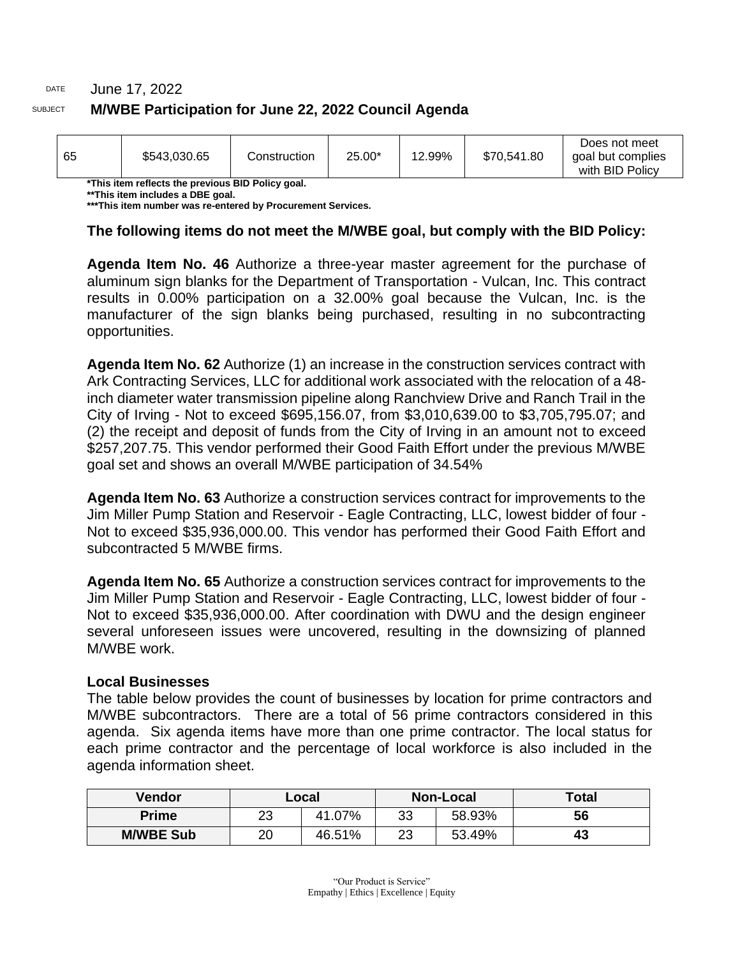## DATE June 17, 2022 SUBJECT **M/WBE Participation for June 22, 2022 Council Agenda**

| 65 | \$543,030.65 | Construction | 25.00* | 12.99% | \$70,541.80 | Does not meet<br>goal but complies<br>with BID Policy |
|----|--------------|--------------|--------|--------|-------------|-------------------------------------------------------|
|----|--------------|--------------|--------|--------|-------------|-------------------------------------------------------|

**\*This item reflects the previous BID Policy goal.**

**\*\*This item includes a DBE goal.**

**\*\*\*This item number was re-entered by Procurement Services.**

#### **The following items do not meet the M/WBE goal, but comply with the BID Policy:**

**Agenda Item No. 46** Authorize a three-year master agreement for the purchase of aluminum sign blanks for the Department of Transportation - Vulcan, Inc. This contract results in 0.00% participation on a 32.00% goal because the Vulcan, Inc. is the manufacturer of the sign blanks being purchased, resulting in no subcontracting opportunities.

**Agenda Item No. 62** Authorize (1) an increase in the construction services contract with Ark Contracting Services, LLC for additional work associated with the relocation of a 48 inch diameter water transmission pipeline along Ranchview Drive and Ranch Trail in the City of Irving - Not to exceed \$695,156.07, from \$3,010,639.00 to \$3,705,795.07; and (2) the receipt and deposit of funds from the City of Irving in an amount not to exceed \$257,207.75. This vendor performed their Good Faith Effort under the previous M/WBE goal set and shows an overall M/WBE participation of 34.54%

**Agenda Item No. 63** Authorize a construction services contract for improvements to the Jim Miller Pump Station and Reservoir - Eagle Contracting, LLC, lowest bidder of four - Not to exceed \$35,936,000.00. This vendor has performed their Good Faith Effort and subcontracted 5 M/WBE firms.

**Agenda Item No. 65** Authorize a construction services contract for improvements to the Jim Miller Pump Station and Reservoir - Eagle Contracting, LLC, lowest bidder of four - Not to exceed \$35,936,000.00. After coordination with DWU and the design engineer several unforeseen issues were uncovered, resulting in the downsizing of planned M/WBE work.

#### **Local Businesses**

The table below provides the count of businesses by location for prime contractors and M/WBE subcontractors. There are a total of 56 prime contractors considered in this agenda. Six agenda items have more than one prime contractor. The local status for each prime contractor and the percentage of local workforce is also included in the agenda information sheet.

| Vendor           | ∟ocal |        |          | <b>Non-Local</b> | <b>Total</b> |
|------------------|-------|--------|----------|------------------|--------------|
| <b>Prime</b>     | 23    | 41.07% | 33       | 58.93%           | 56           |
| <b>M/WBE Sub</b> | 20    | 46.51% | າາ<br>∠€ | 53.49%           | 43           |